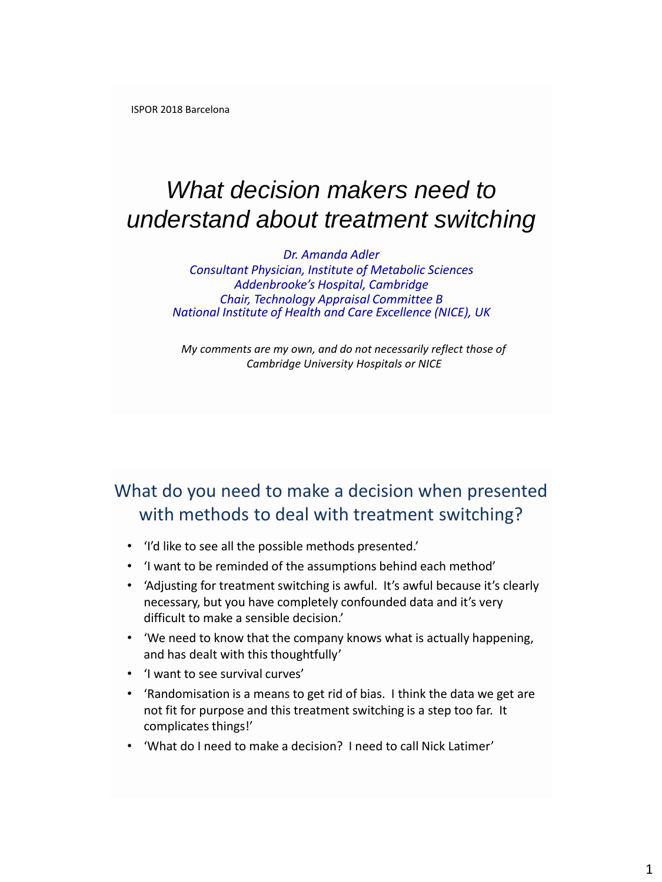ISPOR 2018 Barcelona

# *What decision makers need to understand about treatment switching*

*Dr. Amanda Adler Consultant Physician, Institute of Metabolic Sciences Addenbrooke's Hospital, Cambridge Chair, Technology Appraisal Committee B National Institute of Health and Care Excellence (NICE), UK*

*My comments are my own, and do not necessarily reflect those of Cambridge University Hospitals or NICE* 

## What do you need to make a decision when presented with methods to deal with treatment switching?

- 'I'd like to see all the possible methods presented.'
- 'I want to be reminded of the assumptions behind each method'
- 'Adjusting for treatment switching is awful. It's awful because it's clearly necessary, but you have completely confounded data and it's very difficult to make a sensible decision.'
- 'We need to know that the company knows what is actually happening, and has dealt with this thoughtfully'
- 'I want to see survival curves'
- 'Randomisation is a means to get rid of bias. I think the data we get are not fit for purpose and this treatment switching is a step too far. It complicates things!'
- 'What do I need to make a decision? I need to call Nick Latimer'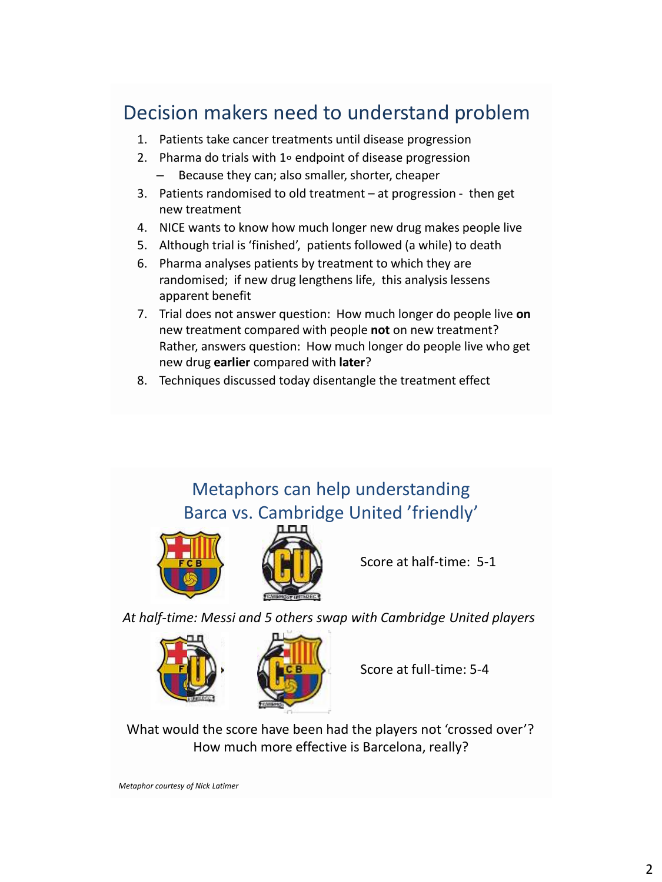# Decision makers need to understand problem

- 1. Patients take cancer treatments until disease progression
- 2. Pharma do trials with 1∘ endpoint of disease progression
	- Because they can; also smaller, shorter, cheaper
- 3. Patients randomised to old treatment at progression then get new treatment
- 4. NICE wants to know how much longer new drug makes people live
- 5. Although trial is 'finished', patients followed (a while) to death
- 6. Pharma analyses patients by treatment to which they are randomised; if new drug lengthens life, this analysis lessens apparent benefit
- 7. Trial does not answer question: How much longer do people live **on** new treatment compared with people **not** on new treatment? Rather, answers question: How much longer do people live who get new drug **earlier** compared with **later**?
- 8. Techniques discussed today disentangle the treatment effect

# Metaphors can help understanding Barca vs. Cambridge United 'friendly'



Score at half-time: 5-1

*At half-time: Messi and 5 others swap with Cambridge United players*



Score at full-time: 5-4

What would the score have been had the players not 'crossed over'? How much more effective is Barcelona, really?

*Metaphor courtesy of Nick Latimer*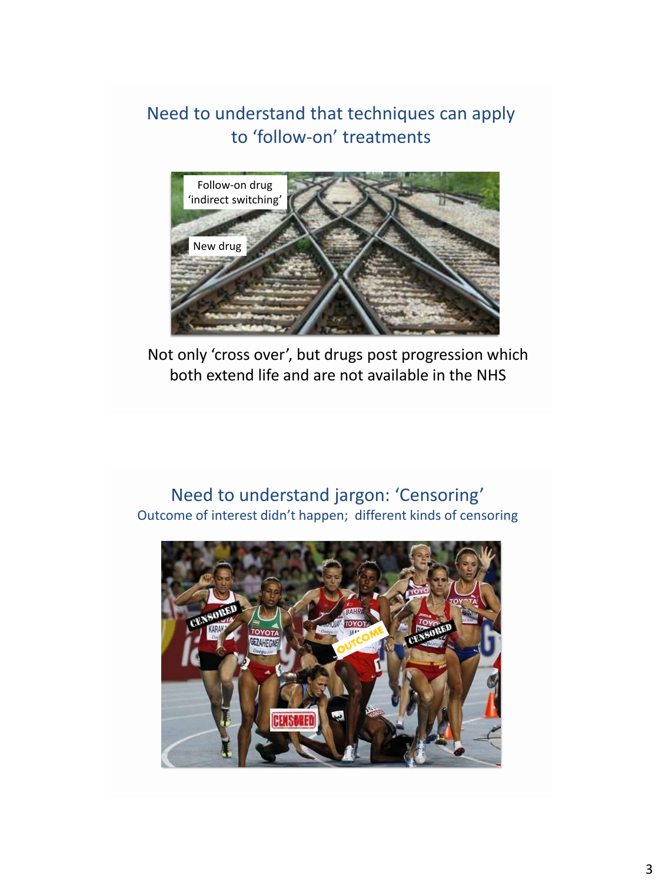Need to understand that techniques can apply to 'follow-on' treatments



Not only 'cross over', but drugs post progression which both extend life and are not available in the NHS

#### Need to understand jargon: 'Censoring' Outcome of interest didn't happen; different kinds of censoring

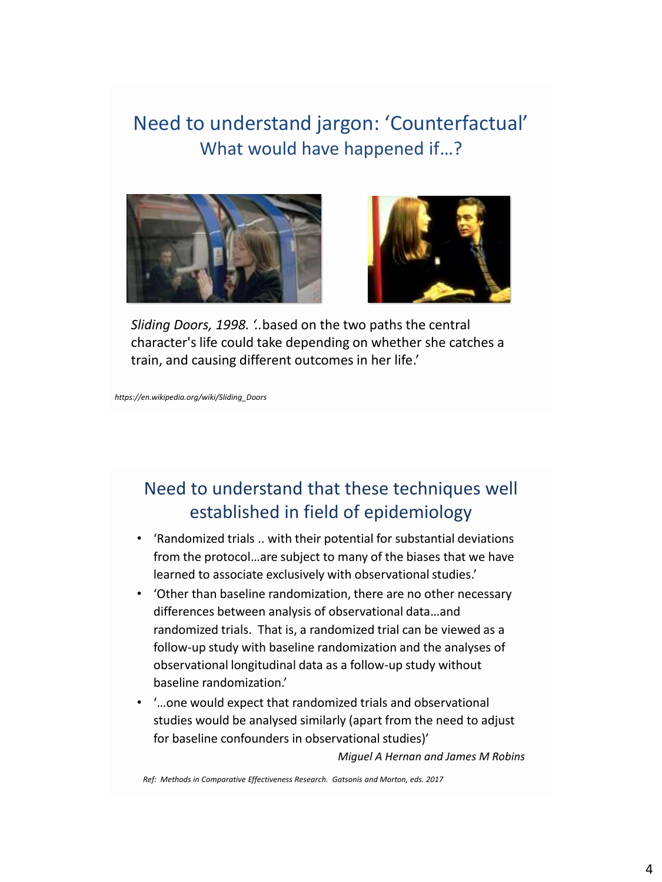# Need to understand jargon: 'Counterfactual' What would have happened if…?





*Sliding Doors, 1998. '..*based on the two paths the central character's life could take depending on whether she catches a train, and causing different outcomes in her life.'

*https://en.wikipedia.org/wiki/Sliding\_Doors*

### Need to understand that these techniques well established in field of epidemiology

- 'Randomized trials .. with their potential for substantial deviations from the protocol…are subject to many of the biases that we have learned to associate exclusively with observational studies.'
- 'Other than baseline randomization, there are no other necessary differences between analysis of observational data…and randomized trials. That is, a randomized trial can be viewed as a follow-up study with baseline randomization and the analyses of observational longitudinal data as a follow-up study without baseline randomization.'
- '…one would expect that randomized trials and observational studies would be analysed similarly (apart from the need to adjust for baseline confounders in observational studies)'

*Miguel A Hernan and James M Robins* 

*Ref: Methods in Comparative Effectiveness Research. Gatsonis and Morton, eds. 2017*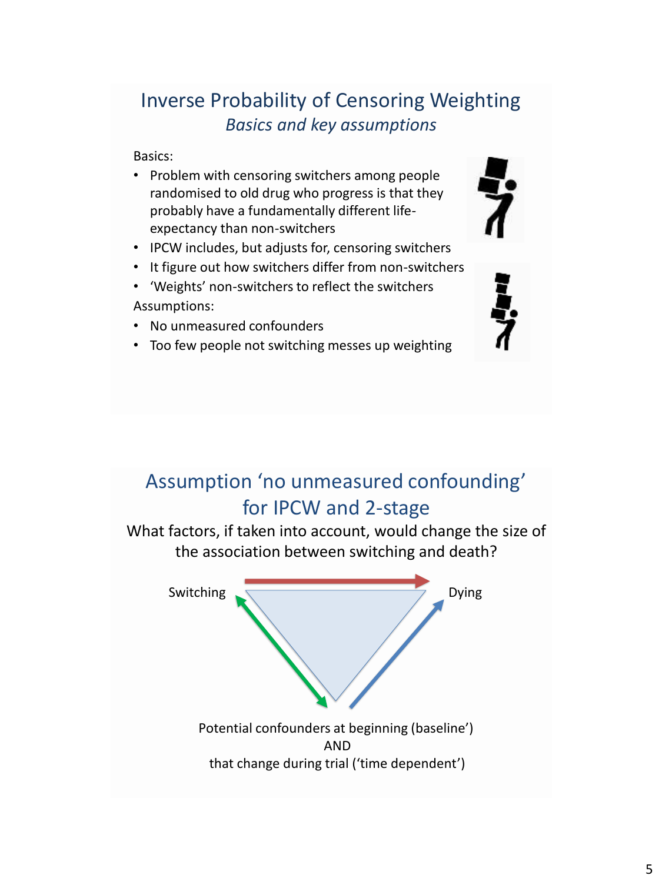5

# Inverse Probability of Censoring Weighting *Basics and key assumptions*

Basics:

- Problem with censoring switchers among people randomised to old drug who progress is that they probably have a fundamentally different lifeexpectancy than non-switchers
- IPCW includes, but adjusts for, censoring switchers
- It figure out how switchers differ from non-switchers
- 'Weights' non-switchers to reflect the switchers Assumptions:
- No unmeasured confounders
- Too few people not switching messes up weighting

# Assumption 'no unmeasured confounding' for IPCW and 2-stage

What factors, if taken into account, would change the size of the association between switching and death?

Switching Dying





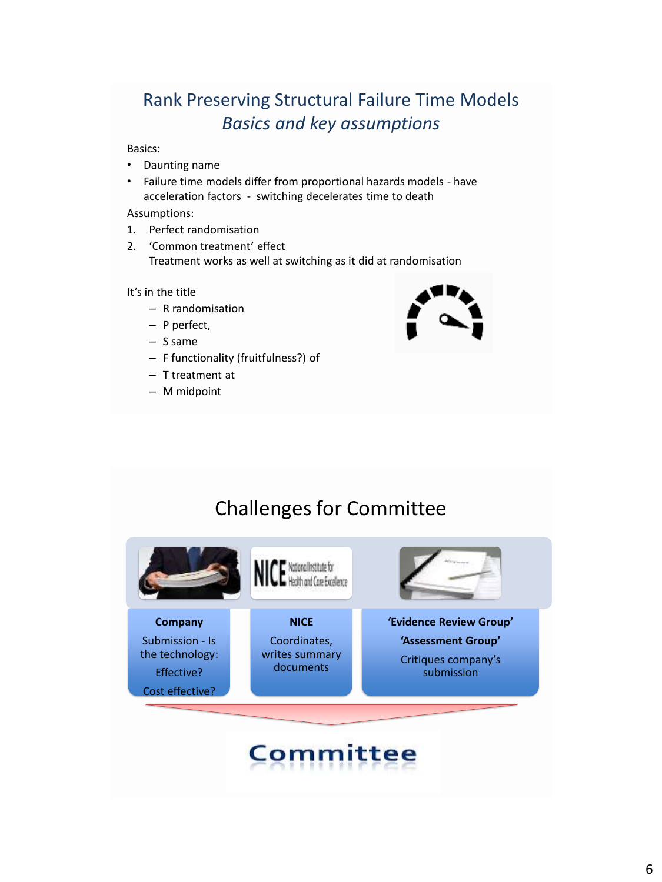# Rank Preserving Structural Failure Time Models *Basics and key assumptions*

Basics:

- Daunting name
- Failure time models differ from proportional hazards models have acceleration factors - switching decelerates time to death

Assumptions:

- 1. Perfect randomisation
- 2. 'Common treatment' effect Treatment works as well at switching as it did at randomisation

It's in the title

- R randomisation
- P perfect,
- S same
- F functionality (fruitfulness?) of
- T treatment at
- M midpoint



# Challenges for Committee



# **Committee**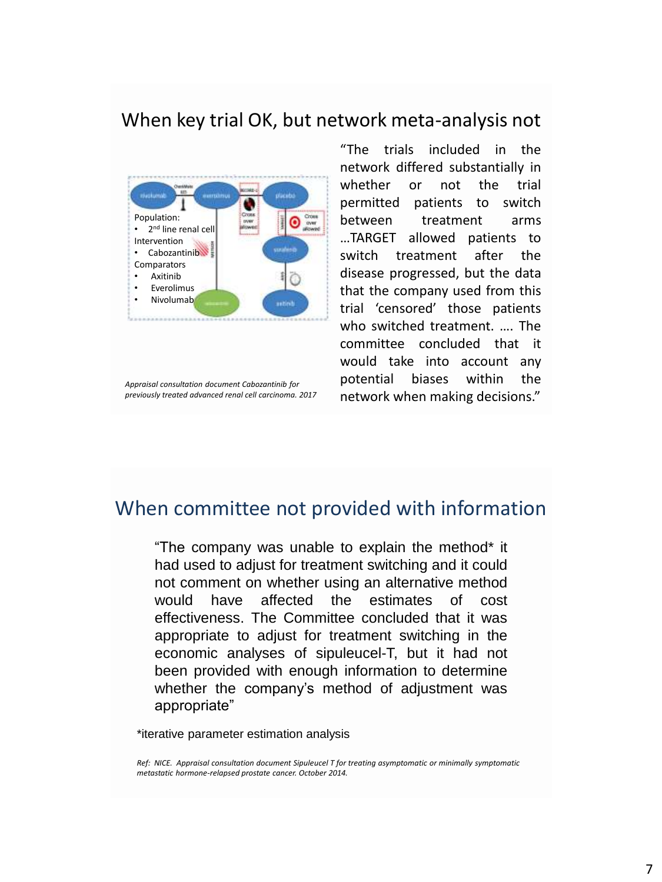#### When key trial OK, but network meta-analysis not



"The trials included in the network differed substantially in whether or not the trial permitted patients to switch between treatment arms …TARGET allowed patients to switch treatment after the disease progressed, but the data that the company used from this trial 'censored' those patients who switched treatment. …. The committee concluded that it would take into account any potential biases within the network when making decisions."

#### When committee not provided with information

"The company was unable to explain the method\* it had used to adjust for treatment switching and it could not comment on whether using an alternative method would have affected the estimates of cost effectiveness. The Committee concluded that it was appropriate to adjust for treatment switching in the economic analyses of sipuleucel-T, but it had not been provided with enough information to determine whether the company's method of adjustment was appropriate"

\*iterative parameter estimation analysis

*Ref: NICE. Appraisal consultation document Sipuleucel T for treating asymptomatic or minimally symptomatic metastatic hormone-relapsed prostate cancer. October 2014.* 

*Appraisal consultation document Cabozantinib for previously treated advanced renal cell carcinoma. 2017*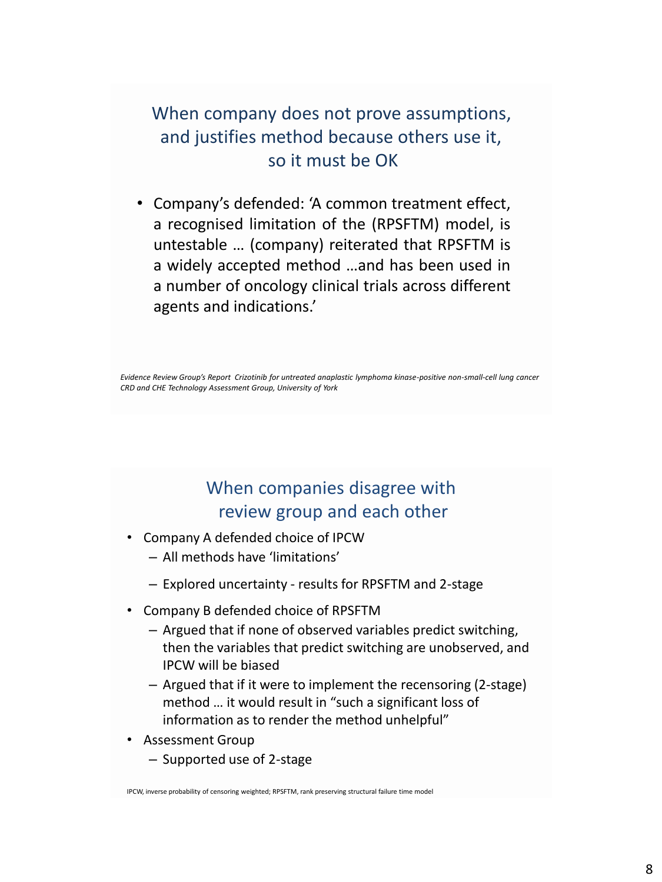### When company does not prove assumptions, and justifies method because others use it, so it must be OK

• Company's defended: 'A common treatment effect, a recognised limitation of the (RPSFTM) model, is untestable … (company) reiterated that RPSFTM is a widely accepted method …and has been used in a number of oncology clinical trials across different agents and indications.'

*Evidence Review Group's Report Crizotinib for untreated anaplastic lymphoma kinase-positive non-small-cell lung cancer CRD and CHE Technology Assessment Group, University of York*

## When companies disagree with review group and each other

- Company A defended choice of IPCW
	- All methods have 'limitations'
	- Explored uncertainty results for RPSFTM and 2-stage
- Company B defended choice of RPSFTM
	- Argued that if none of observed variables predict switching, then the variables that predict switching are unobserved, and IPCW will be biased
	- Argued that if it were to implement the recensoring (2-stage) method … it would result in "such a significant loss of information as to render the method unhelpful"
- Assessment Group
	- Supported use of 2-stage

IPCW, inverse probability of censoring weighted; RPSFTM, rank preserving structural failure time model